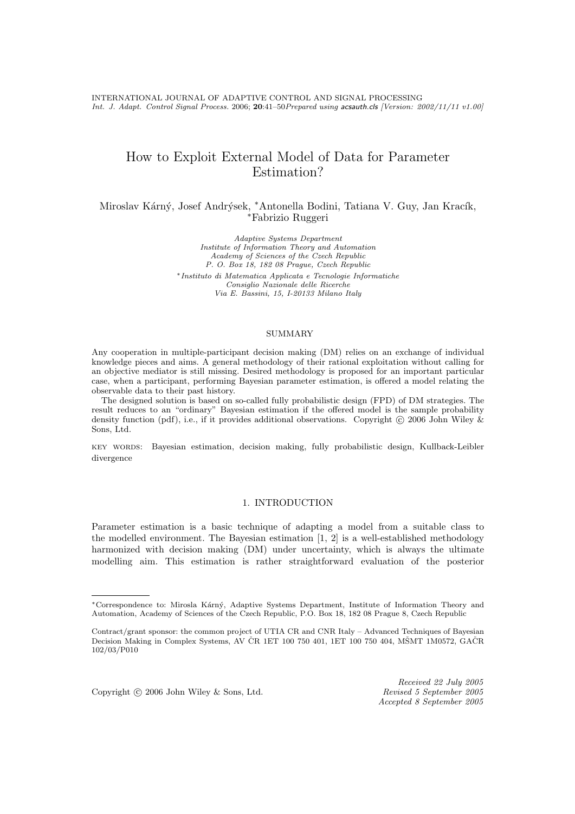# How to Exploit External Model of Data for Parameter Estimation?

Miroslav Kárný, Josef Andrýsek, \*Antonella Bodini, Tatiana V. Guy, Jan Kracík, <sup>∗</sup>Fabrizio Ruggeri

> Adaptive Systems Department Institute of Information Theory and Automation Academy of Sciences of the Czech Republic P. O. Box 18, 182 08 Prague, Czech Republic <sup>∗</sup>Instituto di Matematica Applicata e Tecnologie Informatiche Consiglio Nazionale delle Ricerche Via E. Bassini, 15, I-20133 Milano Italy

#### SUMMARY

Any cooperation in multiple-participant decision making (DM) relies on an exchange of individual knowledge pieces and aims. A general methodology of their rational exploitation without calling for an objective mediator is still missing. Desired methodology is proposed for an important particular case, when a participant, performing Bayesian parameter estimation, is offered a model relating the observable data to their past history.

The designed solution is based on so-called fully probabilistic design (FPD) of DM strategies. The result reduces to an "ordinary" Bayesian estimation if the offered model is the sample probability density function (pdf), i.e., if it provides additional observations. Copyright  $\circ$  2006 John Wiley & Sons, Ltd.

key words: Bayesian estimation, decision making, fully probabilistic design, Kullback-Leibler divergence

# 1. INTRODUCTION

Parameter estimation is a basic technique of adapting a model from a suitable class to the modelled environment. The Bayesian estimation  $[1, 2]$  is a well-established methodology harmonized with decision making (DM) under uncertainty, which is always the ultimate modelling aim. This estimation is rather straightforward evaluation of the posterior

Copyright © 2006 John Wiley & Sons, Ltd. Revised 5 September 2005

Received 22 July 2005 Accepted 8 September 2005

<sup>∗</sup>Correspondence to: Mirosla K´arn´y, Adaptive Systems Department, Institute of Information Theory and Automation, Academy of Sciences of the Czech Republic, P.O. Box 18, 182 08 Prague 8, Czech Republic

Contract/grant sponsor: the common project of UTIA CR and CNR Italy – Advanced Techniques of Bayesian Decision Making in Complex Systems, AV ČR 1ET 100 750 401, 1ET 100 750 404, MŠMT 1M0572, GAČR 102/03/P010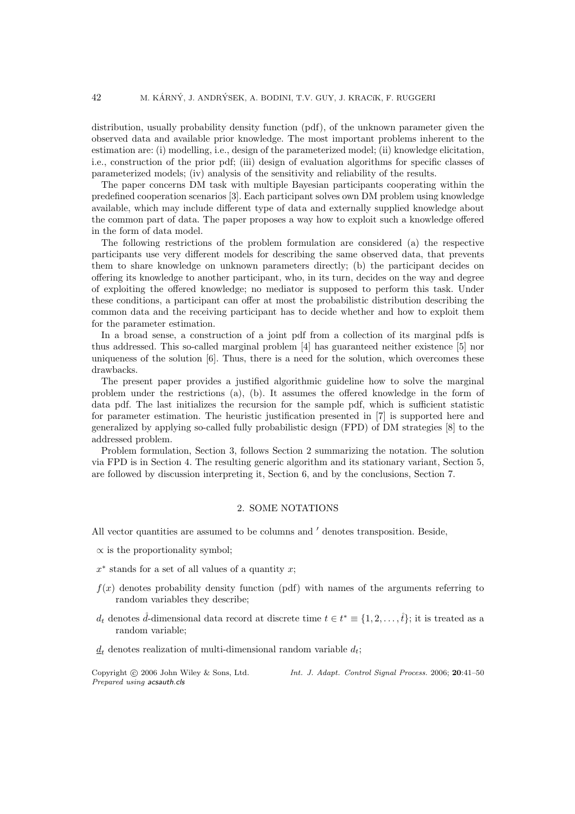distribution, usually probability density function (pdf), of the unknown parameter given the observed data and available prior knowledge. The most important problems inherent to the estimation are: (i) modelling, i.e., design of the parameterized model; (ii) knowledge elicitation, i.e., construction of the prior pdf; (iii) design of evaluation algorithms for specific classes of parameterized models; (iv) analysis of the sensitivity and reliability of the results.

The paper concerns DM task with multiple Bayesian participants cooperating within the predefined cooperation scenarios [3]. Each participant solves own DM problem using knowledge available, which may include different type of data and externally supplied knowledge about the common part of data. The paper proposes a way how to exploit such a knowledge offered in the form of data model.

The following restrictions of the problem formulation are considered (a) the respective participants use very different models for describing the same observed data, that prevents them to share knowledge on unknown parameters directly; (b) the participant decides on offering its knowledge to another participant, who, in its turn, decides on the way and degree of exploiting the offered knowledge; no mediator is supposed to perform this task. Under these conditions, a participant can offer at most the probabilistic distribution describing the common data and the receiving participant has to decide whether and how to exploit them for the parameter estimation.

In a broad sense, a construction of a joint pdf from a collection of its marginal pdfs is thus addressed. This so-called marginal problem [4] has guaranteed neither existence [5] nor uniqueness of the solution  $[6]$ . Thus, there is a need for the solution, which overcomes these drawbacks.

The present paper provides a justified algorithmic guideline how to solve the marginal problem under the restrictions (a), (b). It assumes the offered knowledge in the form of data pdf. The last initializes the recursion for the sample pdf, which is sufficient statistic for parameter estimation. The heuristic justification presented in [7] is supported here and generalized by applying so-called fully probabilistic design (FPD) of DM strategies [8] to the addressed problem.

Problem formulation, Section 3, follows Section 2 summarizing the notation. The solution via FPD is in Section 4. The resulting generic algorithm and its stationary variant, Section 5, are followed by discussion interpreting it, Section 6, and by the conclusions, Section 7.

# 2. SOME NOTATIONS

All vector quantities are assumed to be columns and  $\prime$  denotes transposition. Beside,

- $\propto$  is the proportionality symbol;
- $x^*$  stands for a set of all values of a quantity x;
- $f(x)$  denotes probability density function (pdf) with names of the arguments referring to random variables they describe;
- $d_t$  denotes  $\mathring{d}$ -dimensional data record at discrete time  $t \in t^* \equiv \{1, 2, \ldots, \mathring{t}\}$ ; it is treated as a random variable;
- $d_t$  denotes realization of multi-dimensional random variable  $d_t$ ;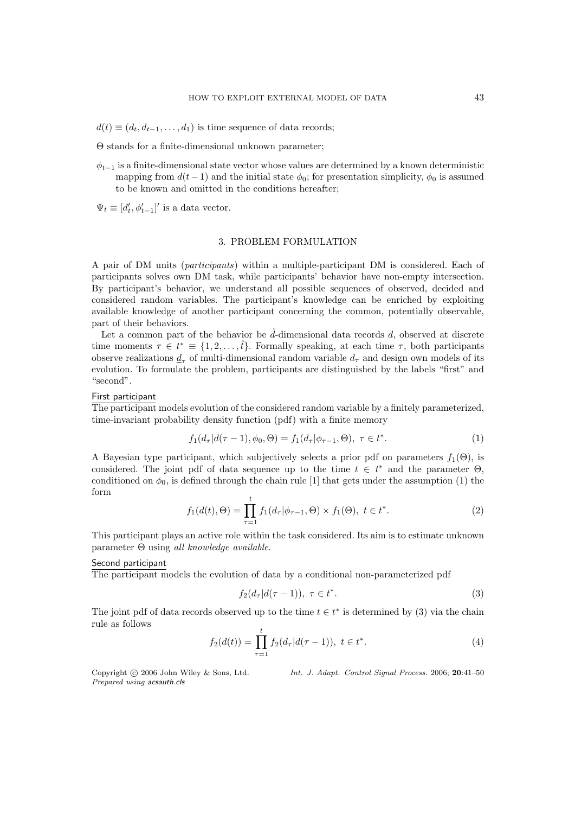$d(t) \equiv (d_t, d_{t-1}, \ldots, d_1)$  is time sequence of data records;

Θ stands for a finite-dimensional unknown parameter;

 $\phi_{t-1}$  is a finite-dimensional state vector whose values are determined by a known deterministic mapping from  $d(t-1)$  and the initial state  $\phi_0$ ; for presentation simplicity,  $\phi_0$  is assumed to be known and omitted in the conditions hereafter;

 $\Psi_t \equiv [d'_t, \phi'_{t-1}]'$  is a data vector.

# 3. PROBLEM FORMULATION

A pair of DM units (participants) within a multiple-participant DM is considered. Each of participants solves own DM task, while participants' behavior have non-empty intersection. By participant's behavior, we understand all possible sequences of observed, decided and considered random variables. The participant's knowledge can be enriched by exploiting available knowledge of another participant concerning the common, potentially observable, part of their behaviors.

Let a common part of the behavior be  $\tilde{d}$ -dimensional data records  $d$ , observed at discrete time moments  $\tau \in t^* \equiv \{1, 2, \ldots, \mathring{t}\}.$  Formally speaking, at each time  $\tau$ , both participants observe realizations  $d_{\tau}$  of multi-dimensional random variable  $d_{\tau}$  and design own models of its evolution. To formulate the problem, participants are distinguished by the labels "first" and "second".

# First participant

The participant models evolution of the considered random variable by a finitely parameterized, time-invariant probability density function (pdf) with a finite memory

$$
f_1(d_\tau|d(\tau-1),\phi_0,\Theta) = f_1(d_\tau|\phi_{\tau-1},\Theta), \ \tau \in t^*.
$$
 (1)

A Bayesian type participant, which subjectively selects a prior pdf on parameters  $f_1(\Theta)$ , is considered. The joint pdf of data sequence up to the time  $t \in t^*$  and the parameter  $\Theta$ , conditioned on  $\phi_0$ , is defined through the chain rule [1] that gets under the assumption (1) the form

$$
f_1(d(t), \Theta) = \prod_{\tau=1}^t f_1(d_\tau | \phi_{\tau-1}, \Theta) \times f_1(\Theta), \ t \in t^*.
$$
 (2)

This participant plays an active role within the task considered. Its aim is to estimate unknown parameter Θ using all knowledge available.

#### Second participant

The participant models the evolution of data by a conditional non-parameterized pdf

$$
f_2(d_\tau|d(\tau-1)), \ \tau \in t^*.
$$
\n<sup>(3)</sup>

The joint pdf of data records observed up to the time  $t \in t^*$  is determined by (3) via the chain rule as follows

$$
f_2(d(t)) = \prod_{\tau=1}^t f_2(d_\tau | d(\tau - 1)), \ t \in t^*.
$$
 (4)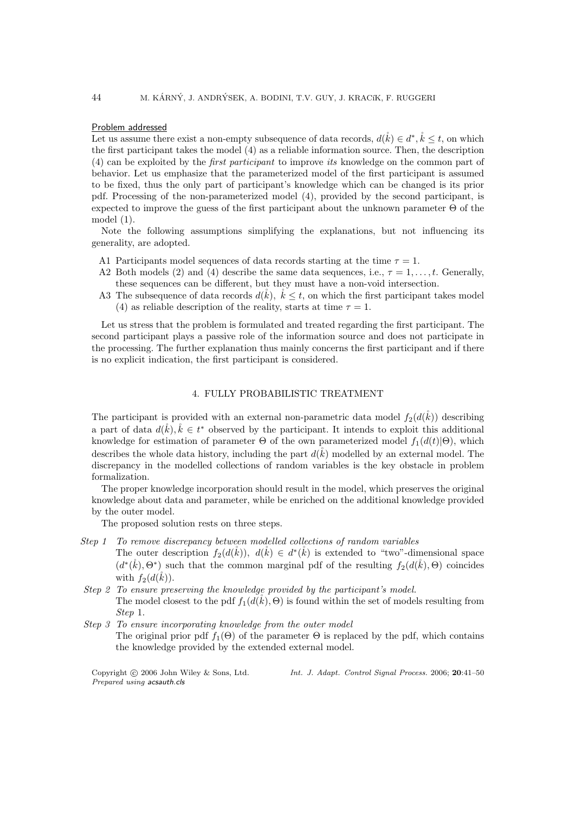#### Problem addressed

Let us assume there exist a non-empty subsequence of data records,  $d(\mathring{k}) \in d^*, \mathring{k} \leq t$ , on which the first participant takes the model (4) as a reliable information source. Then, the description (4) can be exploited by the first participant to improve its knowledge on the common part of behavior. Let us emphasize that the parameterized model of the first participant is assumed to be fixed, thus the only part of participant's knowledge which can be changed is its prior pdf. Processing of the non-parameterized model (4), provided by the second participant, is expected to improve the guess of the first participant about the unknown parameter Θ of the model (1).

Note the following assumptions simplifying the explanations, but not influencing its generality, are adopted.

- A1 Participants model sequences of data records starting at the time  $\tau = 1$ .
- A2 Both models (2) and (4) describe the same data sequences, i.e.,  $\tau = 1, \ldots, t$ . Generally, these sequences can be different, but they must have a non-void intersection.
- A3 The subsequence of data records  $d(\vec{k})$ ,  $\vec{k} \leq t$ , on which the first participant takes model (4) as reliable description of the reality, starts at time  $\tau = 1$ .

Let us stress that the problem is formulated and treated regarding the first participant. The second participant plays a passive role of the information source and does not participate in the processing. The further explanation thus mainly concerns the first participant and if there is no explicit indication, the first participant is considered.

## 4. FULLY PROBABILISTIC TREATMENT

The participant is provided with an external non-parametric data model  $f_2(d(\check{k}))$  describing a part of data  $d(\mathring{k}), \mathring{k} \in t^*$  observed by the participant. It intends to exploit this additional knowledge for estimation of parameter  $\Theta$  of the own parameterized model  $f_1(d(t)|\Theta)$ , which describes the whole data history, including the part  $d(\vec{k})$  modelled by an external model. The discrepancy in the modelled collections of random variables is the key obstacle in problem formalization.

The proper knowledge incorporation should result in the model, which preserves the original knowledge about data and parameter, while be enriched on the additional knowledge provided by the outer model.

The proposed solution rests on three steps.

- Step 1 To remove discrepancy between modelled collections of random variables The outer description  $f_2(d(\mathring{k}))$ ,  $d(\mathring{k}) \in d^*(\mathring{k})$  is extended to "two"-dimensional space  $(d^*(\mathring{k}), \Theta^*)$  such that the common marginal pdf of the resulting  $f_2(d(\mathring{k}), \Theta)$  coincides with  $f_2(d(\v{k}))$ .
- Step 2 To ensure preserving the knowledge provided by the participant's model. The model closest to the pdf  $f_1(d(k), \Theta)$  is found within the set of models resulting from Step 1.
- Step 3 To ensure incorporating knowledge from the outer model The original prior pdf  $f_1(\Theta)$  of the parameter  $\Theta$  is replaced by the pdf, which contains the knowledge provided by the extended external model.

Prepared using acsauth.cls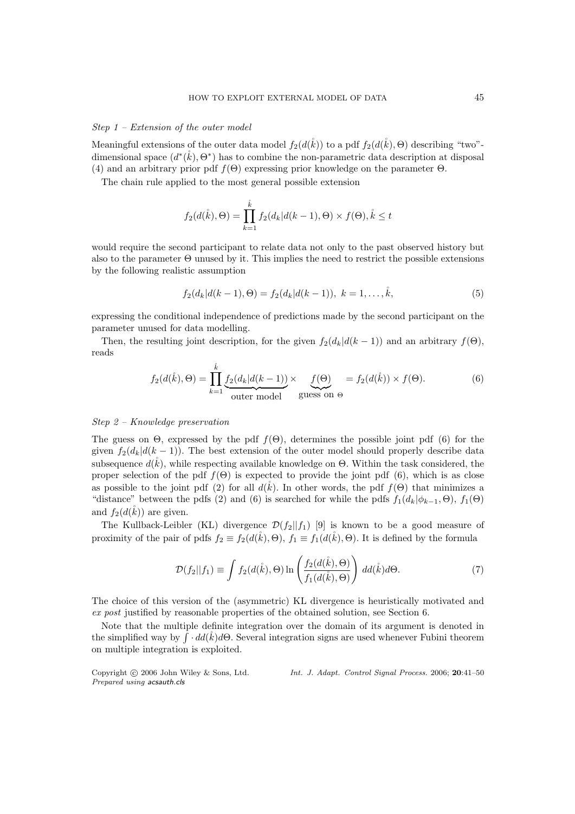#### Step 1 – Extension of the outer model

Meaningful extensions of the outer data model  $f_2(d(\mathring{k}))$  to a pdf  $f_2(d(\mathring{k}), \Theta)$  describing "two"dimensional space  $(d^*(\mathring{k}), \Theta^*)$  has to combine the non-parametric data description at disposal (4) and an arbitrary prior pdf  $f(\Theta)$  expressing prior knowledge on the parameter  $\Theta$ .

The chain rule applied to the most general possible extension

$$
f_2(d(\hat{k}), \Theta) = \prod_{k=1}^{\hat{k}} f_2(d_k|d(k-1), \Theta) \times f(\Theta), \hat{k} \le t
$$

would require the second participant to relate data not only to the past observed history but also to the parameter Θ unused by it. This implies the need to restrict the possible extensions by the following realistic assumption

$$
f_2(d_k|d(k-1),\Theta) = f_2(d_k|d(k-1)), \ k = 1,\ldots,\stackrel{\circ}{k},\tag{5}
$$

expressing the conditional independence of predictions made by the second participant on the parameter unused for data modelling.

Then, the resulting joint description, for the given  $f_2(d_k|d(k-1))$  and an arbitrary  $f(\Theta)$ , reads

$$
f_2(d(\mathring{k}), \Theta) = \prod_{k=1}^{\hat{k}} \underbrace{f_2(d_k|d(k-1))}_{\text{outer model}} \times \underbrace{f(\Theta)}_{\text{guess on } \Theta} = f_2(d(\mathring{k})) \times f(\Theta). \tag{6}
$$

#### Step 2 – Knowledge preservation

The guess on  $\Theta$ , expressed by the pdf  $f(\Theta)$ , determines the possible joint pdf (6) for the given  $f_2(d_k|d(k-1))$ . The best extension of the outer model should properly describe data subsequence  $d(\hat{k})$ , while respecting available knowledge on  $\Theta$ . Within the task considered, the proper selection of the pdf  $f(\Theta)$  is expected to provide the joint pdf (6), which is as close as possible to the joint pdf (2) for all  $d(\tilde{k})$ . In other words, the pdf  $f(\Theta)$  that minimizes a "distance" between the pdfs (2) and (6) is searched for while the pdfs  $f_1(d_k|\phi_{k-1}, \Theta)$ ,  $f_1(\Theta)$ and  $f_2(d(\tilde{k}))$  are given.

The Kullback-Leibler (KL) divergence  $\mathcal{D}(f_2||f_1)$  [9] is known to be a good measure of proximity of the pair of pdfs  $f_2 \equiv f_2(d(\mathbf{k}), \Theta)$ ,  $f_1 \equiv f_1(d(\mathbf{k}), \Theta)$ . It is defined by the formula

$$
\mathcal{D}(f_2||f_1) \equiv \int f_2(d(\mathring{k}), \Theta) \ln \left( \frac{f_2(d(\mathring{k}), \Theta)}{f_1(d(\mathring{k}), \Theta)} \right) d d(\mathring{k}) d\Theta. \tag{7}
$$

The choice of this version of the (asymmetric) KL divergence is heuristically motivated and ex post justified by reasonable properties of the obtained solution, see Section 6.

Note that the multiple definite integration over the domain of its argument is denoted in the simplified way by  $\int d\vec{a}(\mathring{k})d\Theta$ . Several integration signs are used whenever Fubini theorem on multiple integration is exploited.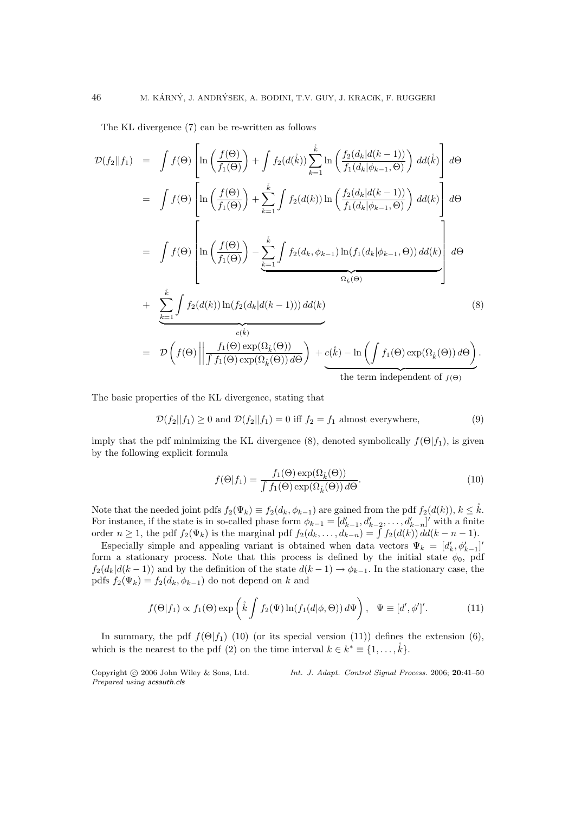The KL divergence (7) can be re-written as follows

$$
\mathcal{D}(f_2||f_1) = \int f(\Theta) \left[ \ln \left( \frac{f(\Theta)}{f_1(\Theta)} \right) + \int f_2(d(\mathring{k})) \sum_{k=1}^{\mathring{k}} \ln \left( \frac{f_2(d_k|d(k-1))}{f_1(d_k|\phi_{k-1}, \Theta)} \right) dd(\mathring{k}) \right] d\Theta
$$
  
\n
$$
= \int f(\Theta) \left[ \ln \left( \frac{f(\Theta)}{f_1(\Theta)} \right) + \sum_{k=1}^{\mathring{k}} \int f_2(d(k)) \ln \left( \frac{f_2(d_k|d(k-1))}{f_1(d_k|\phi_{k-1}, \Theta)} \right) dd(k) \right] d\Theta
$$
  
\n
$$
= \int f(\Theta) \left[ \ln \left( \frac{f(\Theta)}{f_1(\Theta)} \right) - \sum_{\underbrace{k=1}}^{\mathring{k}} \int f_2(d_k, \phi_{k-1}) \ln (f_1(d_k|\phi_{k-1}, \Theta)) dd(k) \right] d\Theta
$$
  
\n
$$
+ \sum_{\underbrace{k=1}}^{\mathring{k}} \int f_2(d(k)) \ln (f_2(d_k|d(k-1))) dd(k)
$$
  
\n
$$
= \mathcal{D} \left( f(\Theta) \left| \left| \frac{f_1(\Theta) \exp(\Omega_{\mathring{k}}(\Theta))}{f_1(\Theta) \exp(\Omega_{\mathring{k}}(\Theta)) d\Theta} \right) + \frac{c(\mathring{k}) - \ln \left( \int f_1(\Theta) \exp(\Omega_{\mathring{k}}(\Theta)) d\Theta \right)}{\text{the term independent of } f(\Theta)} \right. \tag{8}
$$

The basic properties of the KL divergence, stating that

$$
\mathcal{D}(f_2||f_1) \ge 0 \text{ and } \mathcal{D}(f_2||f_1) = 0 \text{ iff } f_2 = f_1 \text{ almost everywhere,}
$$
\n(9)

imply that the pdf minimizing the KL divergence (8), denoted symbolically  $f(\Theta|f_1)$ , is given by the following explicit formula

$$
f(\Theta|f_1) = \frac{f_1(\Theta) \exp(\Omega_{\hat{k}}(\Theta))}{\int f_1(\Theta) \exp(\Omega_{\hat{k}}(\Theta)) d\Theta}.
$$
 (10)

Note that the needed joint pdfs  $f_2(\Psi_k) \equiv f_2(d_k, \phi_{k-1})$  are gained from the pdf  $f_2(d(k))$ ,  $k \leq \mathring{k}$ . For instance, if the state is in so-called phase form  $\phi_{k-1} = [d'_{k-1}, d'_{k-2}, \dots, d'_{k-n}]'$  with a finite order  $n \geq 1$ , the pdf  $f_2(\Psi_k)$  is the marginal pdf  $f_2(d_k, \ldots, d_{k-n}) = \int f_2(d(k)) d(k - n - 1)$ .

Especially simple and appealing variant is obtained when data vectors  $\Psi_k = [d'_k, \phi'_{k-1}]'$ form a stationary process. Note that this process is defined by the initial state  $\phi_0$ , pdf  $f_2(d_k|d(k-1))$  and by the definition of the state  $d(k-1) \rightarrow \phi_{k-1}$ . In the stationary case, the pdfs  $f_2(\Psi_k) = f_2(d_k, \phi_{k-1})$  do not depend on k and

$$
f(\Theta|f_1) \propto f_1(\Theta) \exp\left(\mathring{k} \int f_2(\Psi) \ln(f_1(d|\phi, \Theta)) d\Psi\right), \quad \Psi \equiv [d', \phi']'.\tag{11}
$$

In summary, the pdf  $f(\Theta|f_1)$  (10) (or its special version (11)) defines the extension (6), which is the nearest to the pdf (2) on the time interval  $k \in k^* \equiv \{1, \ldots, \overset{\circ}{k}\}.$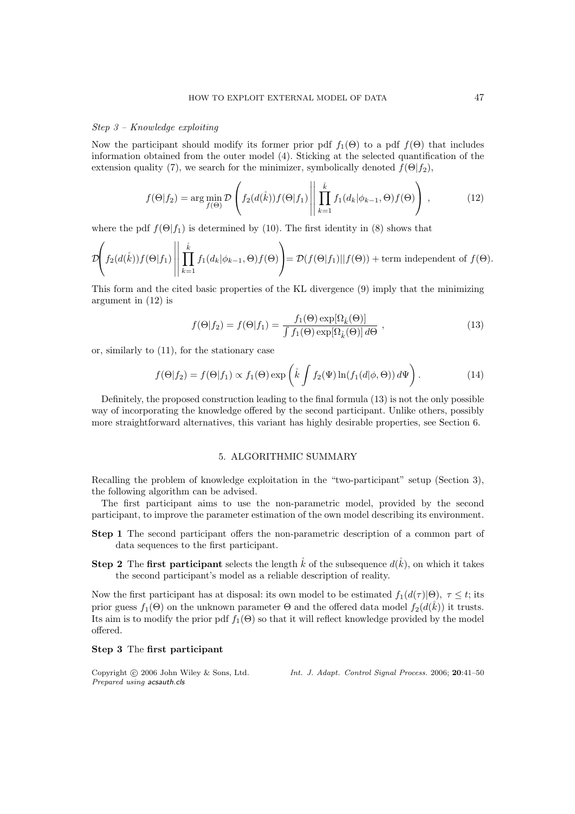#### Step 3 – Knowledge exploiting

Now the participant should modify its former prior pdf  $f_1(\Theta)$  to a pdf  $f(\Theta)$  that includes information obtained from the outer model (4). Sticking at the selected quantification of the extension quality (7), we search for the minimizer, symbolically denoted  $f(\Theta|f_2)$ ,

$$
f(\Theta|f_2) = \arg\min_{f(\Theta)} \mathcal{D}\left(f_2(d(\mathring{k}))f(\Theta|f_1)\middle|\middle|\prod_{k=1}^{\mathring{k}}f_1(d_k|\phi_{k-1},\Theta)f(\Theta)\right),\tag{12}
$$

where the pdf  $f(\Theta|f_1)$  is determined by (10). The first identity in (8) shows that

$$
\mathcal{D}\left(f_2(d(\mathring{k}))f(\Theta|f_1)\middle|\middle|\prod_{k=1}^{\mathring{k}}f_1(d_k|\phi_{k-1},\Theta)f(\Theta)\right) = \mathcal{D}(f(\Theta|f_1)||f(\Theta)) + \text{term independent of } f(\Theta).
$$

This form and the cited basic properties of the KL divergence (9) imply that the minimizing argument in (12) is

$$
f(\Theta|f_2) = f(\Theta|f_1) = \frac{f_1(\Theta) \exp[\Omega_{\hat{k}}(\Theta)]}{\int f_1(\Theta) \exp[\Omega_{\hat{k}}(\Theta)] d\Theta}, \qquad (13)
$$

or, similarly to (11), for the stationary case

$$
f(\Theta|f_2) = f(\Theta|f_1) \propto f_1(\Theta) \exp\left(\mathring{k} \int f_2(\Psi) \ln(f_1(d|\phi, \Theta)) d\Psi\right).
$$
 (14)

Definitely, the proposed construction leading to the final formula (13) is not the only possible way of incorporating the knowledge offered by the second participant. Unlike others, possibly more straightforward alternatives, this variant has highly desirable properties, see Section 6.

# 5. ALGORITHMIC SUMMARY

Recalling the problem of knowledge exploitation in the "two-participant" setup (Section 3), the following algorithm can be advised.

The first participant aims to use the non-parametric model, provided by the second participant, to improve the parameter estimation of the own model describing its environment.

- Step 1 The second participant offers the non-parametric description of a common part of data sequences to the first participant.
- **Step 2** The first participant selects the length  $\hat{k}$  of the subsequence  $d(\hat{k})$ , on which it takes the second participant's model as a reliable description of reality.

Now the first participant has at disposal: its own model to be estimated  $f_1(d(\tau)|\Theta)$ ,  $\tau \leq t$ ; its prior guess  $f_1(\Theta)$  on the unknown parameter  $\Theta$  and the offered data model  $f_2(d(\tilde{k}))$  it trusts. Its aim is to modify the prior pdf  $f_1(\Theta)$  so that it will reflect knowledge provided by the model offered.

# Step 3 The first participant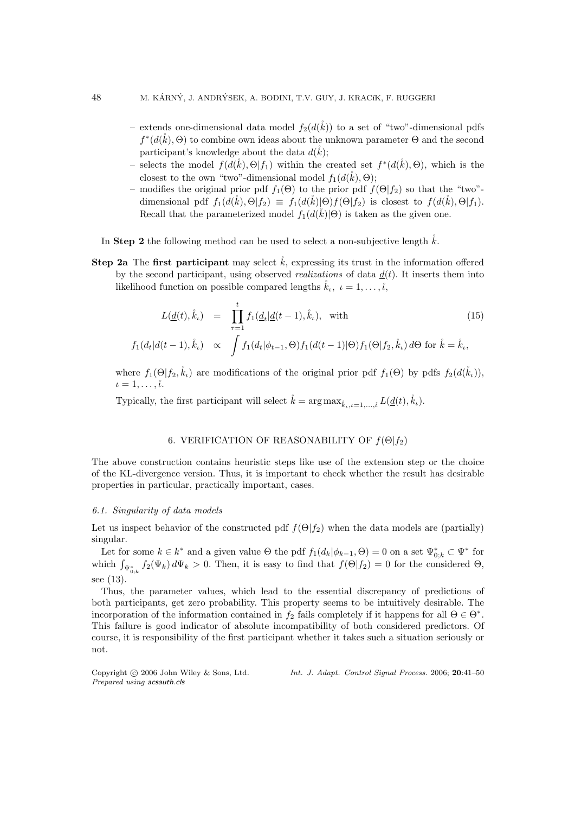- extends one-dimensional data model  $f_2(d(\mathring{k}))$  to a set of "two"-dimensional pdfs  $f^*(d(\mathring{k}), \Theta)$  to combine own ideas about the unknown parameter  $\Theta$  and the second participant's knowledge about the data  $d(\check{k})$ ;
- selects the model  $f(d(\mathring{k}), \Theta | f_1)$  within the created set  $f^*(d(\mathring{k}), \Theta)$ , which is the closest to the own "two"-dimensional model  $f_1(d(\mathring{k}), \Theta)$ ;
- modifies the original prior pdf  $f_1(\Theta)$  to the prior pdf  $f(\Theta|f_2)$  so that the "two"dimensional pdf  $f_1(d(\check{k}), \Theta | f_2) \equiv f_1(d(\check{k}) | \Theta) f(\Theta | f_2)$  is closest to  $f(d(\check{k}), \Theta | f_1)$ . Recall that the parameterized model  $f_1(d(k)|\Theta)$  is taken as the given one.
- In Step 2 the following method can be used to select a non-subjective length  $\hat{k}$ .
- **Step 2a** The first participant may select  $\hat{k}$ , expressing its trust in the information offered by the second participant, using observed *realizations* of data  $d(t)$ . It inserts them into likelihood function on possible compared lengths  $\mathring{k}_\iota, \ \iota = 1, \ldots, \mathring{\iota},$

$$
L(\underline{d}(t), \dot{k}_{\iota}) = \prod_{\tau=1}^{t} f_1(\underline{d}_t | \underline{d}(t-1), \dot{k}_{\iota}), \text{ with}
$$
\n
$$
f_1(d_t | d(t-1), \dot{k}_{\iota}) \propto \int f_1(d_t | \phi_{t-1}, \Theta) f_1(d(t-1) | \Theta) f_1(\Theta | f_2, \dot{k}_{\iota}) d\Theta \text{ for } \dot{k} = \dot{k}_{\iota},
$$
\n(15)

where  $f_1(\Theta|f_2,\mathring{k}_\iota)$  are modifications of the original prior pdf  $f_1(\Theta)$  by pdfs  $f_2(d(\mathring{k}_\iota))$ ,  $\iota = 1, \ldots, \iota$ .

Typically, the first participant will select  $\mathring{k} = \arg \max_{\mathring{k}} I_{n} = \iint_l d\mathring{t}(t) \hat{k}_i$ .

# 6. VERIFICATION OF REASONABILITY OF  $f(\Theta | f_2)$

The above construction contains heuristic steps like use of the extension step or the choice of the KL-divergence version. Thus, it is important to check whether the result has desirable properties in particular, practically important, cases.

# 6.1. Singularity of data models

Let us inspect behavior of the constructed pdf  $f(\Theta|f_2)$  when the data models are (partially) singular.

Let for some  $k \in k^*$  and a given value  $\Theta$  the pdf  $f_1(d_k|\phi_{k-1}, \Theta) = 0$  on a set  $\Psi_{0;k}^* \subset \Psi^*$  for which  $\int_{\Psi_{0,k}^*} f_2(\Psi_k) d\Psi_k > 0$ . Then, it is easy to find that  $f(\Theta|f_2) = 0$  for the considered  $\Theta$ , see (13).

Thus, the parameter values, which lead to the essential discrepancy of predictions of both participants, get zero probability. This property seems to be intuitively desirable. The incorporation of the information contained in  $f_2$  fails completely if it happens for all  $\Theta \in \Theta^*$ . This failure is good indicator of absolute incompatibility of both considered predictors. Of course, it is responsibility of the first participant whether it takes such a situation seriously or not.

Prepared using acsauth.cls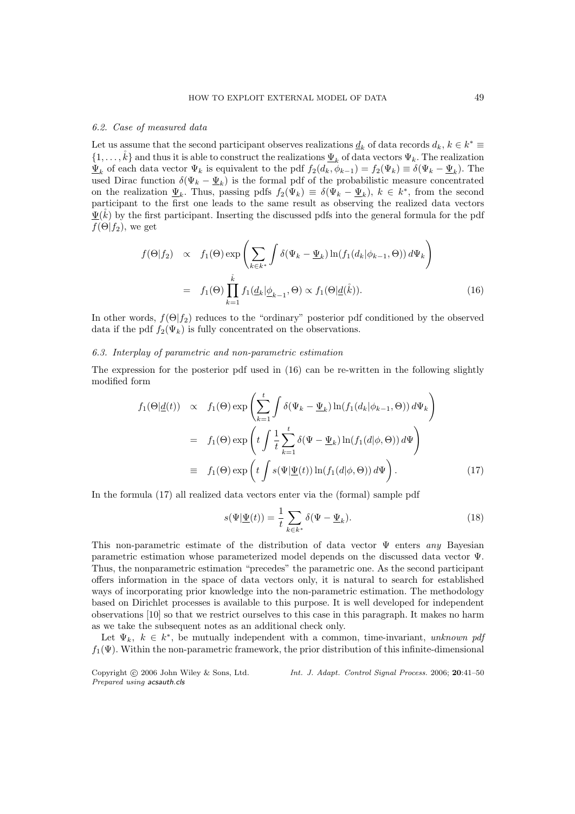#### 6.2. Case of measured data

Let us assume that the second participant observes realizations  $\underline{d}_k$  of data records  $d_k$ ,  $k \in k^* \equiv$  $\{1,\ldots,\mathring{k}\}\$  and thus it is able to construct the realizations  $\underline{\Psi}_k$  of data vectors  $\Psi_k$ . The realization  $\Psi_k$  of each data vector  $\Psi_k$  is equivalent to the pdf  $f_2(d_k, \phi_{k-1}) = f_2(\Psi_k) \equiv \delta(\Psi_k - \underline{\Psi}_k)$ . The used Dirac function  $\delta(\Psi_k - \underline{\Psi}_k)$  is the formal pdf of the probabilistic measure concentrated on the realization  $\underline{\Psi}_k$ . Thus, passing pdfs  $f_2(\Psi_k) \equiv \delta(\Psi_k - \underline{\Psi}_k)$ ,  $k \in k^*$ , from the second participant to the first one leads to the same result as observing the realized data vectors  $\underline{\Psi}(k)$  by the first participant. Inserting the discussed pdfs into the general formula for the pdf  $f(\Theta|f_2)$ , we get

$$
f(\Theta|f_2) \propto f_1(\Theta) \exp\left(\sum_{k \in k^*} \int \delta(\Psi_k - \underline{\Psi}_k) \ln(f_1(d_k|\phi_{k-1}, \Theta)) d\Psi_k\right)
$$
  
=  $f_1(\Theta) \prod_{k=1}^k f_1(\underline{d}_k|\underline{\phi}_{k-1}, \Theta) \propto f_1(\Theta|\underline{d}(\mathring{k})).$  (16)

In other words,  $f(\Theta|f_2)$  reduces to the "ordinary" posterior pdf conditioned by the observed data if the pdf  $f_2(\Psi_k)$  is fully concentrated on the observations.

#### 6.3. Interplay of parametric and non-parametric estimation

The expression for the posterior pdf used in (16) can be re-written in the following slightly modified form

$$
f_1(\Theta | \underline{d}(t)) \propto f_1(\Theta) \exp \left( \sum_{k=1}^t \int \delta(\Psi_k - \underline{\Psi}_k) \ln(f_1(d_k | \phi_{k-1}, \Theta)) d\Psi_k \right)
$$
  
=  $f_1(\Theta) \exp \left( t \int \frac{1}{t} \sum_{k=1}^t \delta(\Psi - \underline{\Psi}_k) \ln(f_1(d | \phi, \Theta)) d\Psi \right)$   
=  $f_1(\Theta) \exp \left( t \int s(\Psi | \underline{\Psi}(t)) \ln(f_1(d | \phi, \Theta)) d\Psi \right).$  (17)

In the formula (17) all realized data vectors enter via the (formal) sample pdf

$$
s(\Psi|\underline{\Psi}(t)) = \frac{1}{t} \sum_{k \in k^*} \delta(\Psi - \underline{\Psi}_k).
$$
 (18)

This non-parametric estimate of the distribution of data vector  $\Psi$  enters any Bayesian parametric estimation whose parameterized model depends on the discussed data vector Ψ. Thus, the nonparametric estimation "precedes" the parametric one. As the second participant offers information in the space of data vectors only, it is natural to search for established ways of incorporating prior knowledge into the non-parametric estimation. The methodology based on Dirichlet processes is available to this purpose. It is well developed for independent observations [10] so that we restrict ourselves to this case in this paragraph. It makes no harm as we take the subsequent notes as an additional check only.

Let  $\Psi_k$ ,  $k \in k^*$ , be mutually independent with a common, time-invariant, unknown pdj  $f_1(\Psi)$ . Within the non-parametric framework, the prior distribution of this infinite-dimensional

Prepared using acsauth.cls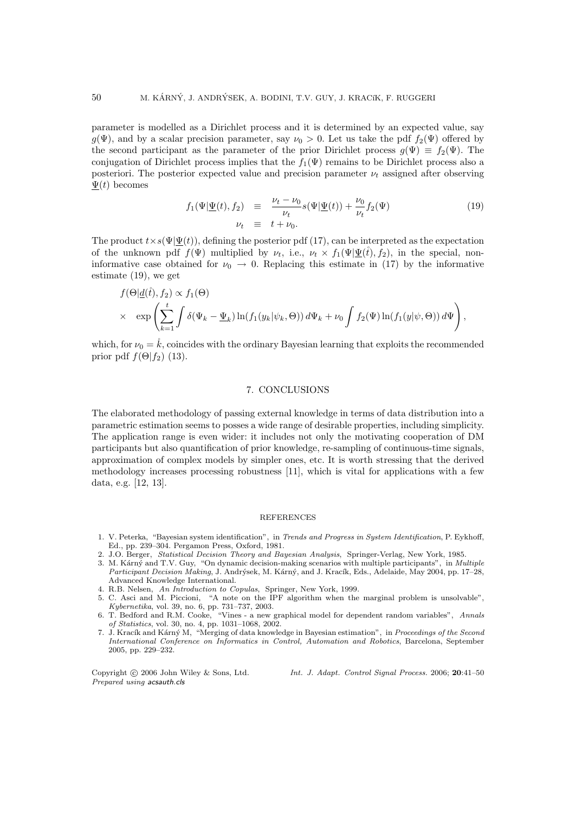parameter is modelled as a Dirichlet process and it is determined by an expected value, say  $g(\Psi)$ , and by a scalar precision parameter, say  $\nu_0 > 0$ . Let us take the pdf  $f_2(\Psi)$  offered by the second participant as the parameter of the prior Dirichlet process  $g(\Psi) \equiv f_2(\Psi)$ . The conjugation of Dirichlet process implies that the  $f_1(\Psi)$  remains to be Dirichlet process also a posteriori. The posterior expected value and precision parameter  $\nu_t$  assigned after observing  $\Psi(t)$  becomes

$$
f_1(\Psi|\underline{\Psi}(t), f_2) \equiv \frac{\nu_t - \nu_0}{\nu_t} s(\Psi|\underline{\Psi}(t)) + \frac{\nu_0}{\nu_t} f_2(\Psi)
$$
\n
$$
\nu_t \equiv t + \nu_0.
$$
\n(19)

The product  $t \times s(\Psi | \Psi(t))$ , defining the posterior pdf (17), can be interpreted as the expectation of the unknown pdf  $f(\Psi)$  multiplied by  $\nu_t$ , i.e.,  $\nu_t \times f_1(\Psi | \Psi(t), f_2)$ , in the special, noninformative case obtained for  $\nu_0 \rightarrow 0$ . Replacing this estimate in (17) by the informative estimate (19), we get

$$
f(\Theta | \underline{d}(\mathring{t}), f_2) \propto f_1(\Theta)
$$
  
 
$$
\times \exp\left(\sum_{k=1}^t \int \delta(\Psi_k - \underline{\Psi}_k) \ln(f_1(y_k | \psi_k, \Theta)) d\Psi_k + \nu_0 \int f_2(\Psi) \ln(f_1(y | \psi, \Theta)) d\Psi\right),
$$

which, for  $\nu_0 = \dot{k}$ , coincides with the ordinary Bayesian learning that exploits the recommended prior pdf  $f(\Theta|f_2)$  (13).

#### 7. CONCLUSIONS

The elaborated methodology of passing external knowledge in terms of data distribution into a parametric estimation seems to posses a wide range of desirable properties, including simplicity. The application range is even wider: it includes not only the motivating cooperation of DM participants but also quantification of prior knowledge, re-sampling of continuous-time signals, approximation of complex models by simpler ones, etc. It is worth stressing that the derived methodology increases processing robustness [11], which is vital for applications with a few data, e.g. [12, 13].

#### **REFERENCES**

- 1. V. Peterka, "Bayesian system identification", in Trends and Progress in System Identification, P. Eykhoff, Ed., pp. 239–304. Pergamon Press, Oxford, 1981.
- 2. J.O. Berger, Statistical Decision Theory and Bayesian Analysis, Springer-Verlag, New York, 1985.
- 3. M. Kárný and T.V. Guy, "On dynamic decision-making scenarios with multiple participants", in Multiple Participant Decision Making, J. Andrýsek, M. Kárný, and J. Kracík, Eds., Adelaide, May 2004, pp. 17–28, Advanced Knowledge International.
- 4. R.B. Nelsen, An Introduction to Copulas, Springer, New York, 1999.
- 5. C. Asci and M. Piccioni, "A note on the IPF algorithm when the marginal problem is unsolvable", Kybernetika, vol. 39, no. 6, pp. 731–737, 2003.
- 6. T. Bedford and R.M. Cooke, "Vines a new graphical model for dependent random variables", Annals of Statistics, vol. 30, no. 4, pp. 1031–1068, 2002.
- 7. J. Kracík and Kárný M, "Merging of data knowledge in Bayesian estimation", in Proceedings of the Second International Conference on Informatics in Control, Automation and Robotics, Barcelona, September 2005, pp. 229–232.

Prepared using acsauth.cls